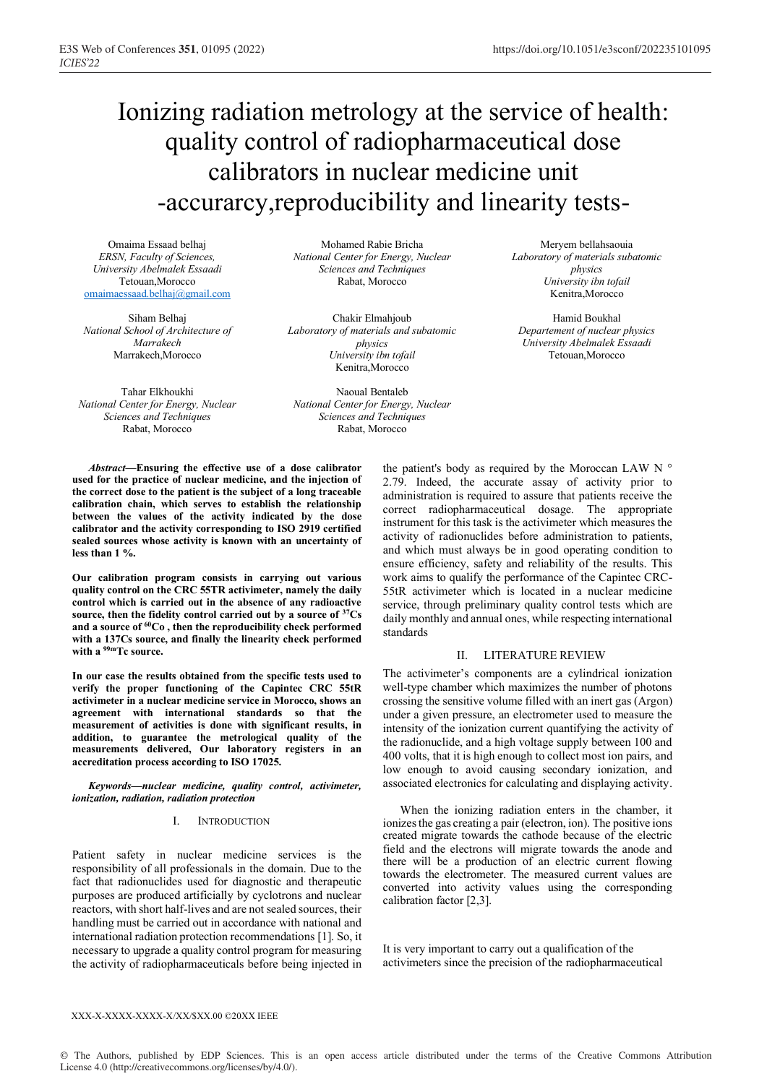# Ionizing radiation metrology at the service of health: quality control of radiopharmaceutical dose calibrators in nuclear medicine unit -accurarcy,reproducibility and linearity tests-

Omaima Essaad belhaj *ERSN, Faculty of Sciences, University Abelmalek Essaadi* Tetouan Morocco omaimaessaad.belhaj@gmail.com

Siham Belhaj *National School of Architecture of Marrakech* Marrakech,Morocco

Tahar Elkhoukhi *National Center for Energy, Nuclear Sciences and Techniques* Rabat, Morocco

Mohamed Rabie Bricha *National Center for Energy, Nuclear Sciences and Techniques* Rabat, Morocco

Chakir Elmahjoub *Laboratory of materials and subatomic physics University ibn tofail* Kenitra,Morocco

Naoual Bentaleb *National Center for Energy, Nuclear Sciences and Techniques* Rabat, Morocco

*Abstract***—Ensuring the effective use of a dose calibrator used for the practice of nuclear medicine, and the injection of the correct dose to the patient is the subject of a long traceable calibration chain, which serves to establish the relationship between the values of the activity indicated by the dose calibrator and the activity corresponding to ISO 2919 certified sealed sources whose activity is known with an uncertainty of less than 1 %.**

**Our calibration program consists in carrying out various quality control on the CRC 55TR activimeter, namely the daily control which is carried out in the absence of any radioactive source, then the fidelity control carried out by a source of 37Cs**  and a source of <sup>60</sup>Co, then the reproducibility check performed **with a 137Cs source, and finally the linearity check performed with a 99mTc source.**

**In our case the results obtained from the specific tests used to verify the proper functioning of the Capintec CRC 55tR activimeter in a nuclear medicine service in Morocco, shows an agreement with international standards so that the measurement of activities is done with significant results, in addition, to guarantee the metrological quality of the measurements delivered, Our laboratory registers in an accreditation process according to ISO 17025.**

*Keywords—nuclear medicine, quality control, activimeter, ionization, radiation, radiation protection*

#### I. INTRODUCTION

Patient safety in nuclear medicine services is the responsibility of all professionals in the domain. Due to the fact that radionuclides used for diagnostic and therapeutic purposes are produced artificially by cyclotrons and nuclear reactors, with short half-lives and are not sealed sources, their handling must be carried out in accordance with national and international radiation protection recommendations [1]. So, it necessary to upgrade a quality control program for measuring the activity of radiopharmaceuticals before being injected in

Meryem bellahsaouia *Laboratory of materials subatomic physics University ibn tofail* Kenitra,Morocco

Hamid Boukhal *Departement of nuclear physics University Abelmalek Essaadi* Tetouan,Morocco

the patient's body as required by the Moroccan LAW N ° 2.79. Indeed, the accurate assay of activity prior to administration is required to assure that patients receive the correct radiopharmaceutical dosage. The appropriate instrument for this task is the activimeter which measures the activity of radionuclides before administration to patients, and which must always be in good operating condition to ensure efficiency, safety and reliability of the results. This work aims to qualify the performance of the Capintec CRC-55tR activimeter which is located in a nuclear medicine service, through preliminary quality control tests which are daily monthly and annual ones, while respecting international standards

### II. LITERATURE REVIEW

The activimeter's components are a cylindrical ionization well-type chamber which maximizes the number of photons crossing the sensitive volume filled with an inert gas (Argon) under a given pressure, an electrometer used to measure the intensity of the ionization current quantifying the activity of the radionuclide, and a high voltage supply between 100 and 400 volts, that it is high enough to collect most ion pairs, and low enough to avoid causing secondary ionization, and associated electronics for calculating and displaying activity.

When the ionizing radiation enters in the chamber, it ionizes the gas creating a pair (electron, ion). The positive ions created migrate towards the cathode because of the electric field and the electrons will migrate towards the anode and there will be a production of an electric current flowing towards the electrometer. The measured current values are converted into activity values using the corresponding calibration factor [2,3].

It is very important to carry out a qualification of the activimeters since the precision of the radiopharmaceutical

#### XXX-X-XXXX-XXXX-X/XX/\$XX.00 ©20XX IEEE

© The Authors, published by EDP Sciences. This is an open access article distributed under the terms of the Creative Commons Attribution License 4.0 (http://creativecommons.org/licenses/by/4.0/).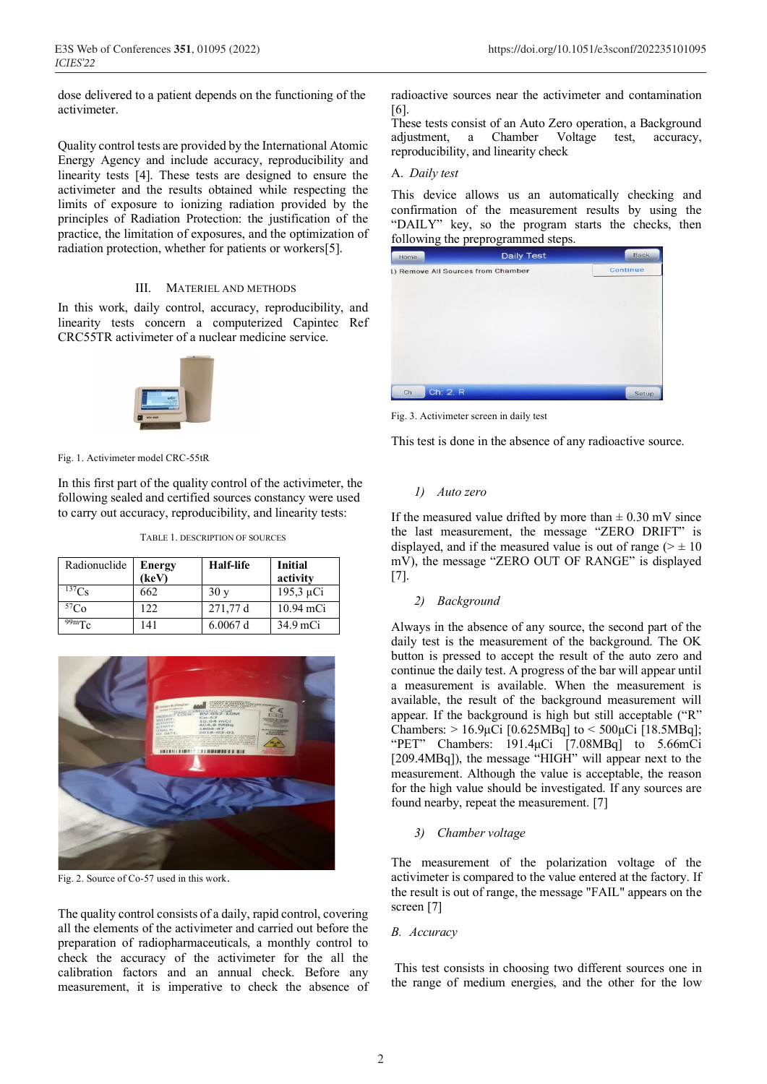dose delivered to a patient depends on the functioning of the activimeter.

Quality control tests are provided by the International Atomic Energy Agency and include accuracy, reproducibility and linearity tests [4]. These tests are designed to ensure the activimeter and the results obtained while respecting the limits of exposure to ionizing radiation provided by the principles of Radiation Protection: the justification of the practice, the limitation of exposures, and the optimization of radiation protection, whether for patients or workers[5].

#### III. MATERIEL AND METHODS

In this work, daily control, accuracy, reproducibility, and linearity tests concern a computerized Capintec Ref CRC55TR activimeter of a nuclear medicine service.



Fig. 1. Activimeter model CRC-55tR

In this first part of the quality control of the activimeter, the following sealed and certified sources constancy were used to carry out accuracy, reproducibility, and linearity tests:

TABLE 1. DESCRIPTION OF SOURCES

| Radionuclide | <b>Energy</b><br>(keV) | Half-life | <b>Initial</b><br>activity |
|--------------|------------------------|-----------|----------------------------|
| $^{137}Cs$   | 662                    | 30y       | $195,3 \mu Ci$             |
| ${}^{57}Co$  | 122.                   | 271,77 d  | 10.94 mCi                  |
| $99m$ Tc     | 141                    | 6.0067 d  | 34.9 mCi                   |



Fig. 2. Source of Co-57 used in this work.

The quality control consists of a daily, rapid control, covering all the elements of the activimeter and carried out before the preparation of radiopharmaceuticals, a monthly control to check the accuracy of the activimeter for the all the calibration factors and an annual check. Before any measurement, it is imperative to check the absence of radioactive sources near the activimeter and contamination [6].

These tests consist of an Auto Zero operation, a Background adjustment, a Chamber Voltage test, accuracy, reproducibility, and linearity check

### A. *Daily test*

This device allows us an automatically checking and confirmation of the measurement results by using the "DAILY" key, so the program starts the checks, then following the preprogrammed steps.

| Home                               | <b>Daily Test</b> | <b>Back</b> |
|------------------------------------|-------------------|-------------|
| 1) Remove All Sources from Chamber |                   | Continue    |
|                                    |                   |             |
|                                    |                   |             |
|                                    |                   |             |
|                                    |                   |             |
|                                    |                   |             |
|                                    |                   |             |
|                                    |                   |             |
|                                    |                   |             |
| Ch: 2, R<br>Ch                     |                   | Setup       |

Fig. 3. Activimeter screen in daily test

This test is done in the absence of any radioactive source.

# *1) Auto zero*

If the measured value drifted by more than  $\pm$  0.30 mV since the last measurement, the message "ZERO DRIFT" is displayed, and if the measured value is out of range ( $> \pm 10$ ) mV), the message "ZERO OUT OF RANGE" is displayed [7].

# *2) Background*

Always in the absence of any source, the second part of the daily test is the measurement of the background. The OK button is pressed to accept the result of the auto zero and continue the daily test. A progress of the bar will appear until a measurement is available. When the measurement is available, the result of the background measurement will appear. If the background is high but still acceptable ("R" Chambers: > 16.9μCi [0.625MBq] to < 500μCi [18.5MBq]; "PET" Chambers: 191.4μCi [7.08MBq] to 5.66mCi [209.4MBq]), the message "HIGH" will appear next to the measurement. Although the value is acceptable, the reason for the high value should be investigated. If any sources are found nearby, repeat the measurement. [7]

# *3) Chamber voltage*

The measurement of the polarization voltage of the activimeter is compared to the value entered at the factory. If the result is out of range, the message "FAIL" appears on the screen [7]

#### *B. Accuracy*

This test consists in choosing two different sources one in the range of medium energies, and the other for the low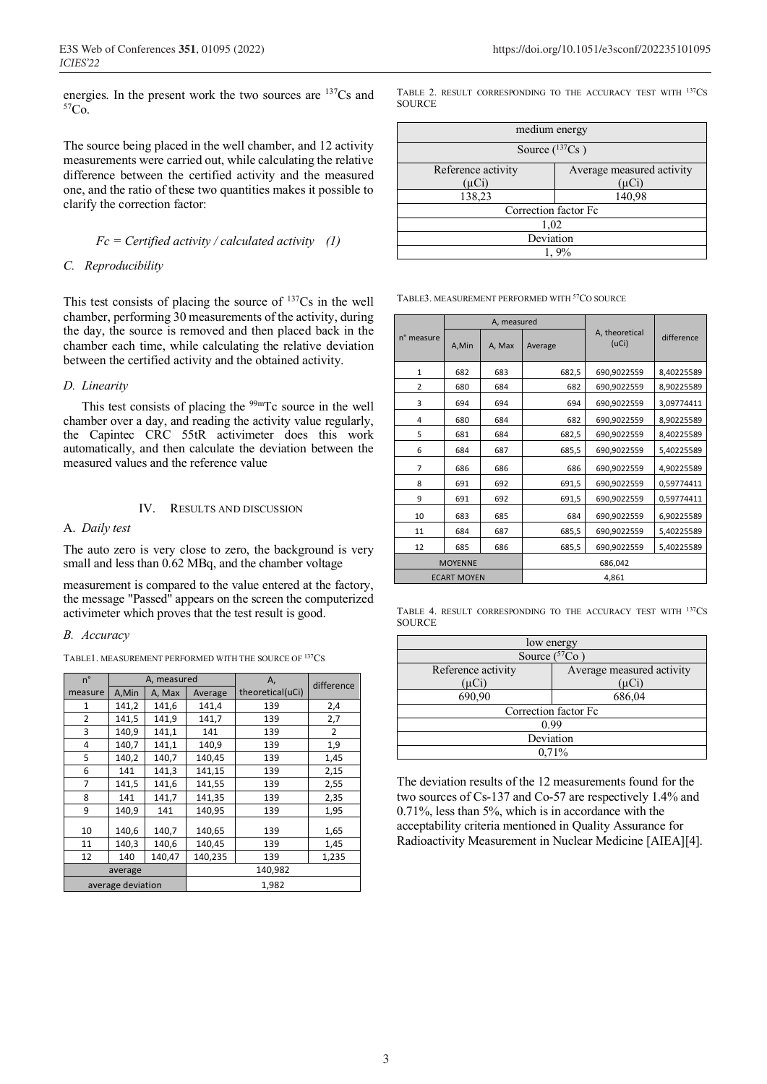energies. In the present work the two sources are  $^{137}Cs$  and  $^{57}Co$ 

The source being placed in the well chamber, and 12 activity measurements were carried out, while calculating the relative difference between the certified activity and the measured one, and the ratio of these two quantities makes it possible to clarify the correction factor:

# *Fc = Certified activity / calculated activity (1)*

# *C. Reproducibility*

This test consists of placing the source of  $137Cs$  in the well chamber, performing 30 measurements of the activity, during the day, the source is removed and then placed back in the chamber each time, while calculating the relative deviation between the certified activity and the obtained activity.

# *D. Linearity*

This test consists of placing the  $99mTc$  source in the well chamber over a day, and reading the activity value regularly, the Capintec CRC 55tR activimeter does this work automatically, and then calculate the deviation between the measured values and the reference value

# IV. RESULTS AND DISCUSSION

# A. *Daily test*

The auto zero is very close to zero, the background is very small and less than 0.62 MBq, and the chamber voltage

measurement is compared to the value entered at the factory, the message "Passed" appears on the screen the computerized activimeter which proves that the test result is good.

# *B. Accuracy*

TABLE1. MEASUREMENT PERFORMED WITH THE SOURCE OF <sup>137</sup>CS.

| n°             | A, measured       |        | А,      | difference       |       |
|----------------|-------------------|--------|---------|------------------|-------|
| measure        | A,Min             | A, Max | Average | theoretical(uCi) |       |
| 1              | 141,2             | 141,6  | 141,4   | 139              | 2,4   |
| $\overline{2}$ | 141,5             | 141,9  | 141,7   | 139              | 2,7   |
| 3              | 140,9             | 141,1  | 141     | 139              | 2     |
| 4              | 140,7             | 141,1  | 140,9   | 139              | 1,9   |
| 5              | 140,2             | 140,7  | 140,45  | 139              | 1,45  |
| 6              | 141               | 141,3  | 141,15  | 139              | 2,15  |
| 7              | 141,5             | 141,6  | 141,55  | 139              | 2,55  |
| 8              | 141               | 141,7  | 141,35  | 139              | 2,35  |
| 9              | 140,9             | 141    | 140,95  | 139              | 1,95  |
| 10             | 140,6             | 140,7  | 140,65  | 139              | 1,65  |
| 11             | 140,3             | 140,6  | 140,45  | 139              | 1,45  |
| 12             | 140               | 140,47 | 140,235 | 139              | 1,235 |
|                | average           |        |         | 140,982          |       |
|                | average deviation |        |         | 1,982            |       |

TABLE 2. RESULT CORRESPONDING TO THE ACCURACY TEST WITH 137CS **SOURCE** 

| medium energy        |                           |  |  |  |
|----------------------|---------------------------|--|--|--|
| Source $(^{137}Cs$ ) |                           |  |  |  |
| Reference activity   | Average measured activity |  |  |  |
| (µCi)                | $(\mu Ci)$                |  |  |  |
| 138,23<br>140,98     |                           |  |  |  |
| Correction factor Fc |                           |  |  |  |
| 1,02                 |                           |  |  |  |
| Deviation            |                           |  |  |  |
|                      |                           |  |  |  |

TABLE3. MEASUREMENT PERFORMED WITH <sup>57</sup>CO SOURCE

|                | A, measured        |        |         |                         |            |
|----------------|--------------------|--------|---------|-------------------------|------------|
| n° measure     | A,Min              | A, Max | Average | A, theoretical<br>(UCi) | difference |
| $\mathbf{1}$   | 682                | 683    | 682,5   | 690,9022559             | 8,40225589 |
| 2              | 680                | 684    | 682     | 690,9022559             | 8,90225589 |
| 3              | 694                | 694    | 694     | 690,9022559             | 3,09774411 |
| 4              | 680                | 684    | 682     | 690,9022559             | 8,90225589 |
| 5              | 681                | 684    | 682,5   | 690,9022559             | 8,40225589 |
| 6              | 684                | 687    | 685,5   | 690,9022559             | 5,40225589 |
| $\overline{7}$ | 686                | 686    | 686     | 690,9022559             | 4,90225589 |
| 8              | 691                | 692    | 691,5   | 690,9022559             | 0,59774411 |
| 9              | 691                | 692    | 691,5   | 690,9022559             | 0,59774411 |
| 10             | 683                | 685    | 684     | 690,9022559             | 6,90225589 |
| 11             | 684                | 687    | 685,5   | 690,9022559             | 5,40225589 |
| 12             | 685                | 686    | 685,5   | 690,9022559             | 5,40225589 |
|                | <b>MOYENNE</b>     |        |         | 686,042                 |            |
|                | <b>ECART MOYEN</b> |        |         | 4,861                   |            |

TABLE 4. RESULT CORRESPONDING TO THE ACCURACY TEST WITH 137CS **SOURCE** 

| low energy              |                           |  |  |  |  |
|-------------------------|---------------------------|--|--|--|--|
| Source $(57)$<br>$Co$ ) |                           |  |  |  |  |
| Reference activity      | Average measured activity |  |  |  |  |
| $(\mu Ci)$              | (uCi`                     |  |  |  |  |
| 690,90                  | 686,04                    |  |  |  |  |
| Correction factor Fc    |                           |  |  |  |  |
| 0.99                    |                           |  |  |  |  |
| Deviation               |                           |  |  |  |  |
|                         | 0.71%                     |  |  |  |  |

The deviation results of the 12 measurements found for the two sources of Cs-137 and Co-57 are respectively 1.4% and 0.71%, less than 5%, which is in accordance with the acceptability criteria mentioned in Quality Assurance for Radioactivity Measurement in Nuclear Medicine [AIEA][4].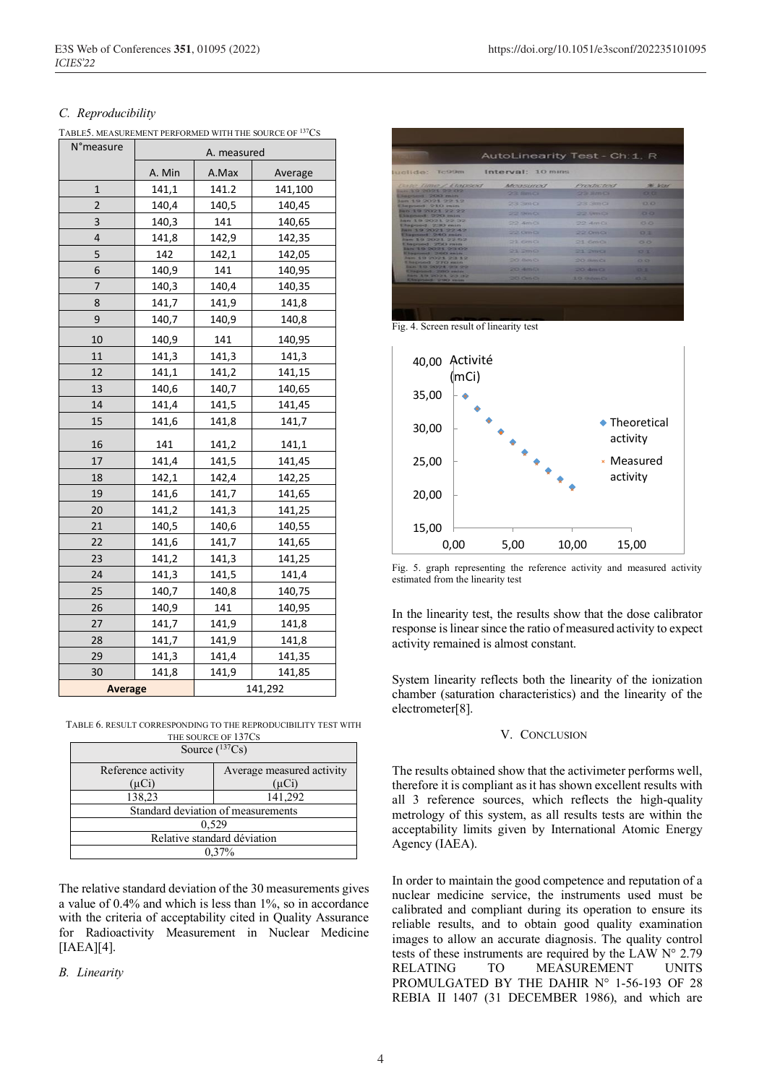|  | TABLE5. MEASUREMENT PERFORMED WITH THE SOURCE OF <sup>137</sup> CS |  |  |  |  |
|--|--------------------------------------------------------------------|--|--|--|--|
|  |                                                                    |  |  |  |  |

| N°measure      | A. measured |       |         |
|----------------|-------------|-------|---------|
|                | A. Min      | A.Max | Average |
| $\mathbf{1}$   | 141,1       | 141.2 | 141,100 |
| $\overline{2}$ | 140,4       | 140,5 | 140,45  |
| 3              | 140,3       | 141   | 140,65  |
| 4              | 141,8       | 142,9 | 142,35  |
| 5              | 142         | 142,1 | 142,05  |
| 6              | 140,9       | 141   | 140,95  |
| 7              | 140,3       | 140,4 | 140,35  |
| 8              | 141,7       | 141,9 | 141,8   |
| 9              | 140,7       | 140,9 | 140,8   |
| 10             | 140,9       | 141   | 140,95  |
| 11             | 141,3       | 141,3 | 141,3   |
| 12             | 141,1       | 141,2 | 141,15  |
| 13             | 140,6       | 140,7 | 140,65  |
| 14             | 141,4       | 141,5 | 141,45  |
| 15             | 141,6       | 141,8 | 141,7   |
| 16             | 141         | 141,2 | 141,1   |
| 17             | 141,4       | 141,5 | 141,45  |
| 18             | 142,1       | 142,4 | 142,25  |
| 19             | 141,6       | 141,7 | 141,65  |
| 20             | 141,2       | 141,3 | 141,25  |
| 21             | 140,5       | 140,6 | 140,55  |
| 22             | 141,6       | 141,7 | 141,65  |
| 23             | 141,2       | 141,3 | 141,25  |
| 24             | 141,3       | 141,5 | 141,4   |
| 25             | 140,7       | 140,8 | 140,75  |
| 26             | 140,9       | 141   | 140,95  |
| 27             | 141,7       | 141,9 | 141,8   |
| 28             | 141,7       | 141,9 | 141,8   |
| 29             | 141,3       | 141,4 | 141,35  |
| 30             | 141,8       | 141,9 | 141,85  |
| <b>Average</b> |             |       | 141,292 |

TABLE 6. RESULT CORRESPONDING TO THE REPRODUCIBILITY TEST WITH THE SOURCE OF 137CS

|                    | Source $(^{137}Cs)$                |
|--------------------|------------------------------------|
| Reference activity | Average measured activity          |
| $(\mu Ci)$         | $(\mu Ci)$                         |
| 138,23             | 141,292                            |
|                    | Standard deviation of measurements |
|                    | 0.529                              |
|                    | Relative standard déviation        |
|                    | 0.37%                              |

The relative standard deviation of the 30 measurements gives a value of 0.4% and which is less than 1%, so in accordance with the criteria of acceptability cited in Quality Assurance for Radioactivity Measurement in Nuclear Medicine [IAEA][4].

*B. Linearity*



|                                                | AutoLinearity Test - Ch: 1, R |                        |                 |
|------------------------------------------------|-------------------------------|------------------------|-----------------|
| luclide: Tc99m                                 | Interval: 10 mins             |                        |                 |
| <b>Bate Time / Elapsed</b>                     | Meassured                     | Productord             | <b>36. Voir</b> |
| <b>MG.39/2021 22:02</b><br>Japted 200 min      | $22$ Pan Cr.                  | 22.8mQ                 | <b>CERTI</b>    |
| lan 19 2021 22 12<br>Elepsed: 210 min.         | 23.2001                       | 22.3000                | $-100$          |
| lan 19 2021 22:22<br>Elapsed: 220 min.         | $22.9 \text{mC}$              | 22.9 <sub>m</sub>      | <b>CLICK</b>    |
| Jan 19 2021 22:32<br>Elapsed 230 min.          | 22.4 <sub>0</sub>             | 22 AmiOi               | 0.01            |
| Jun 19 2021 22:42<br>Eliapsaid 240 min         | 22.0mQ                        | 22.0 <sub>m</sub>      | 0.1             |
| San 19/2021 22:52<br>Etapsed 250 min           | $22$ GrnCk                    | $O(1)$ Fience          | $\circ$         |
| <b>San 19 2021 23:02</b><br>Elephond 260 min.  | Q3.2mQ                        | 21.2002                | C <sub>2</sub>  |
| <b>New 19 2021 23 12</b><br>Elephons 970 min   | <b>CONTRACTOR</b>             | <b>CACIL SHOWN NOW</b> | <b>COLOR</b>    |
| Ban 19 2021 23 22<br>Elisprond 200 min.        | $204$ 4mCs                    | $20$ dm $n$            | -               |
| <b>Bars 3.5 2023 23 22</b><br>Elephant 200 min | 20.066                        | <b>10 GRAPH CL</b>     | 23.72           |

Fig. 4. Screen result of linearity test



Fig. 5. graph representing the reference activity and measured activity estimated from the linearity test

In the linearity test, the results show that the dose calibrator response is linear since the ratio of measured activity to expect activity remained is almost constant.

System linearity reflects both the linearity of the ionization chamber (saturation characteristics) and the linearity of the electrometer[8].

#### V. CONCLUSION

The results obtained show that the activimeter performs well, therefore it is compliant as it has shown excellent results with all 3 reference sources, which reflects the high-quality metrology of this system, as all results tests are within the acceptability limits given by International Atomic Energy Agency (IAEA).

In order to maintain the good competence and reputation of a nuclear medicine service, the instruments used must be calibrated and compliant during its operation to ensure its reliable results, and to obtain good quality examination images to allow an accurate diagnosis. The quality control tests of these instruments are required by the LAW N° 2.79 RELATING TO MEASUREMENT UNITS PROMULGATED BY THE DAHIR N° 1-56-193 OF 28 REBIA II 1407 (31 DECEMBER 1986), and which are